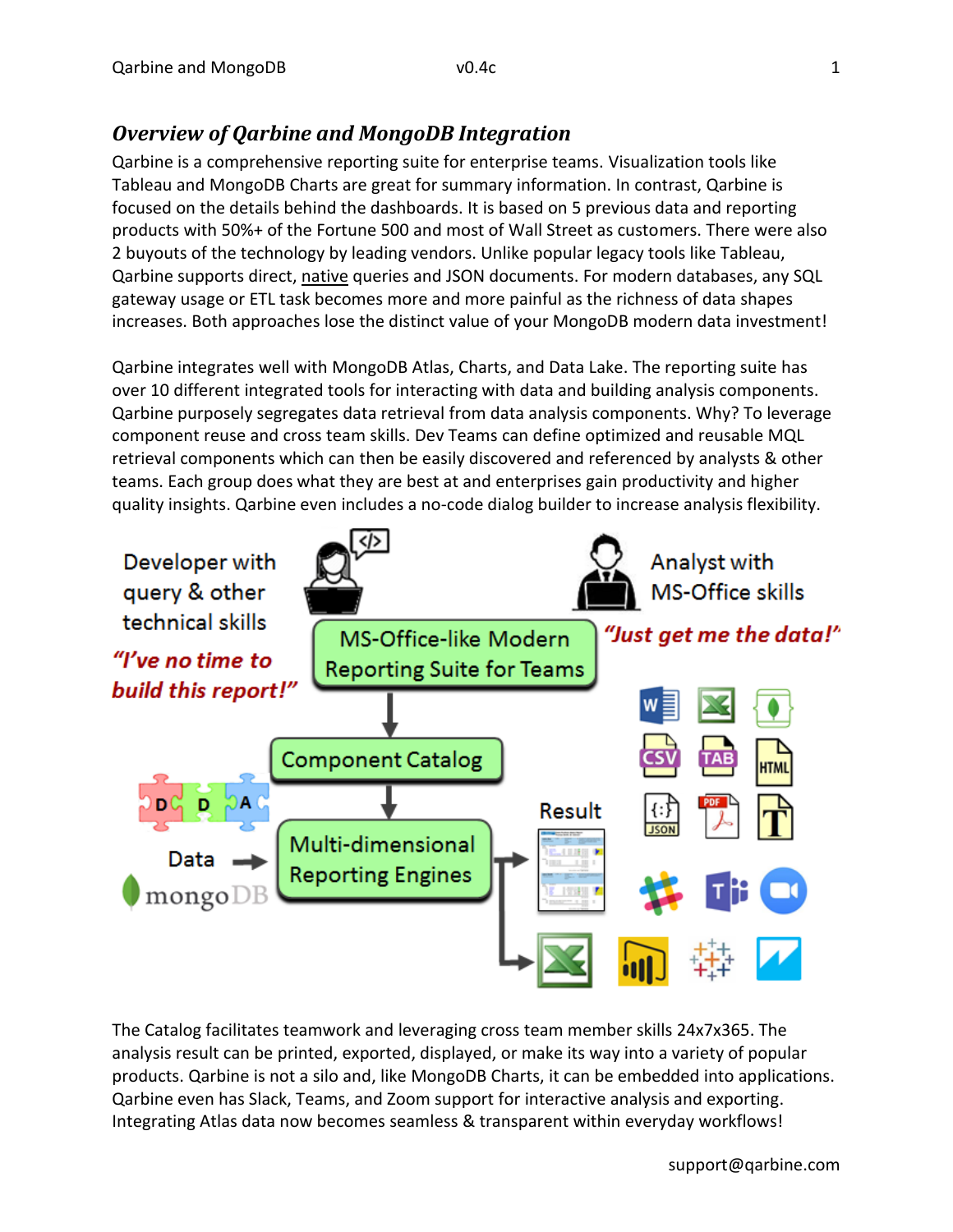## *Overview of Qarbine and MongoDB Integration*

Qarbine is a comprehensive reporting suite for enterprise teams. Visualization tools like Tableau and MongoDB Charts are great for summary information. In contrast, Qarbine is focused on the details behind the dashboards. It is based on 5 previous data and reporting products with 50%+ of the Fortune 500 and most of Wall Street as customers. There were also 2 buyouts of the technology by leading vendors. Unlike popular legacy tools like Tableau, Qarbine supports direct, native queries and JSON documents. For modern databases, any SQL gateway usage or ETL task becomes more and more painful as the richness of data shapes increases. Both approaches lose the distinct value of your MongoDB modern data investment!

Qarbine integrates well with MongoDB Atlas, Charts, and Data Lake. The reporting suite has over 10 different integrated tools for interacting with data and building analysis components. Qarbine purposely segregates data retrieval from data analysis components. Why? To leverage component reuse and cross team skills. Dev Teams can define optimized and reusable MQL retrieval components which can then be easily discovered and referenced by analysts & other teams. Each group does what they are best at and enterprises gain productivity and higher quality insights. Qarbine even includes a no-code dialog builder to increase analysis flexibility.



The Catalog facilitates teamwork and leveraging cross team member skills 24x7x365. The analysis result can be printed, exported, displayed, or make its way into a variety of popular products. Qarbine is not a silo and, like MongoDB Charts, it can be embedded into applications. Qarbine even has Slack, Teams, and Zoom support for interactive analysis and exporting. Integrating Atlas data now becomes seamless & transparent within everyday workflows!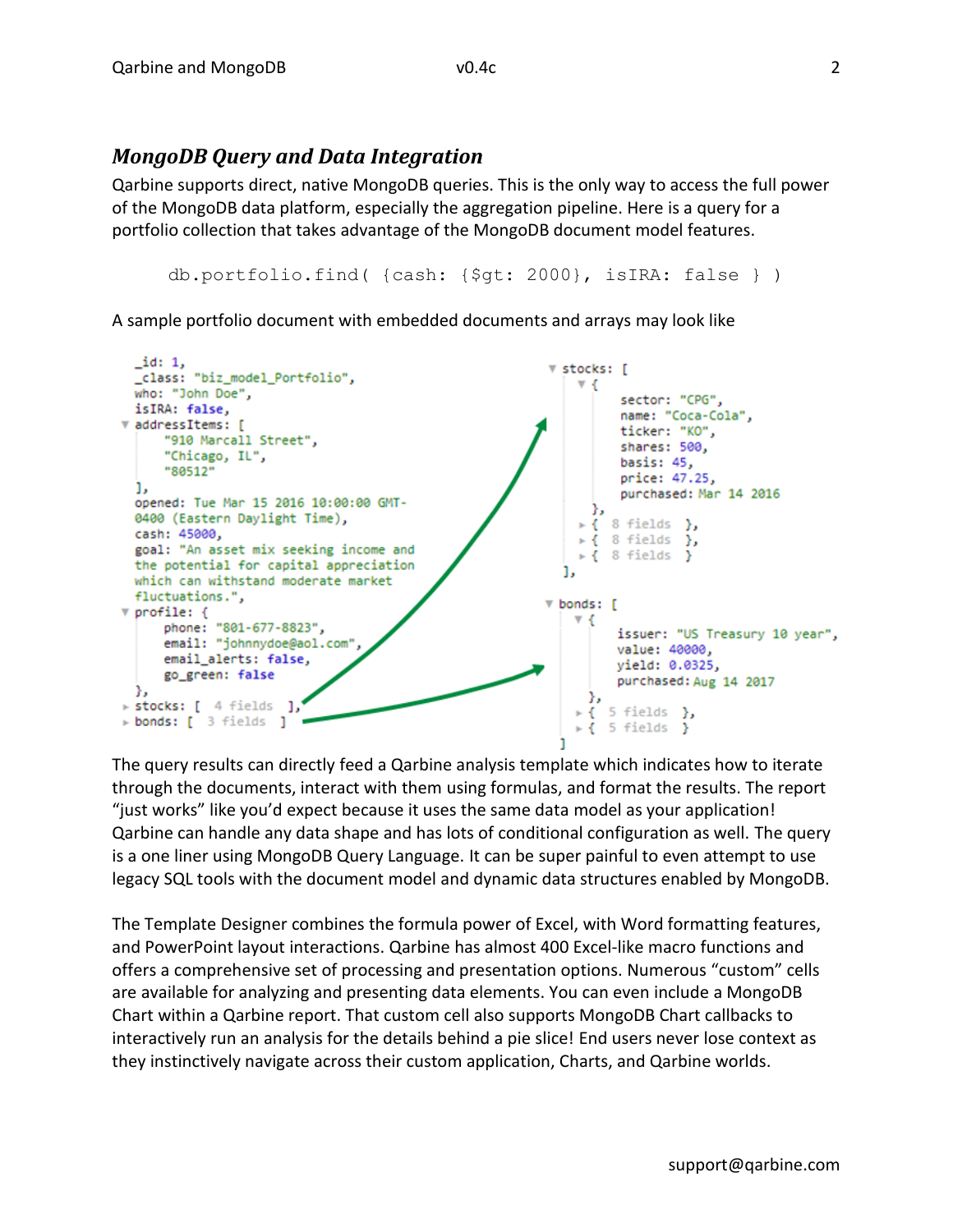#### *MongoDB Query and Data Integration*

Qarbine supports direct, native MongoDB queries. This is the only way to access the full power of the MongoDB data platform, especially the aggregation pipeline. Here is a query for a portfolio collection that takes advantage of the MongoDB document model features.

```
db.portfolio.find( {cash: {$gt: 2000}, isIRA: false } )
```
A sample portfolio document with embedded documents and arrays may look like



The query results can directly feed a Qarbine analysis template which indicates how to iterate through the documents, interact with them using formulas, and format the results. The report "just works" like you'd expect because it uses the same data model as your application! Qarbine can handle any data shape and has lots of conditional configuration as well. The query is a one liner using MongoDB Query Language. It can be super painful to even attempt to use legacy SQL tools with the document model and dynamic data structures enabled by MongoDB.

The Template Designer combines the formula power of Excel, with Word formatting features, and PowerPoint layout interactions. Qarbine has almost 400 Excel-like macro functions and offers a comprehensive set of processing and presentation options. Numerous "custom" cells are available for analyzing and presenting data elements. You can even include a MongoDB Chart within a Qarbine report. That custom cell also supports MongoDB Chart callbacks to interactively run an analysis for the details behind a pie slice! End users never lose context as they instinctively navigate across their custom application, Charts, and Qarbine worlds.